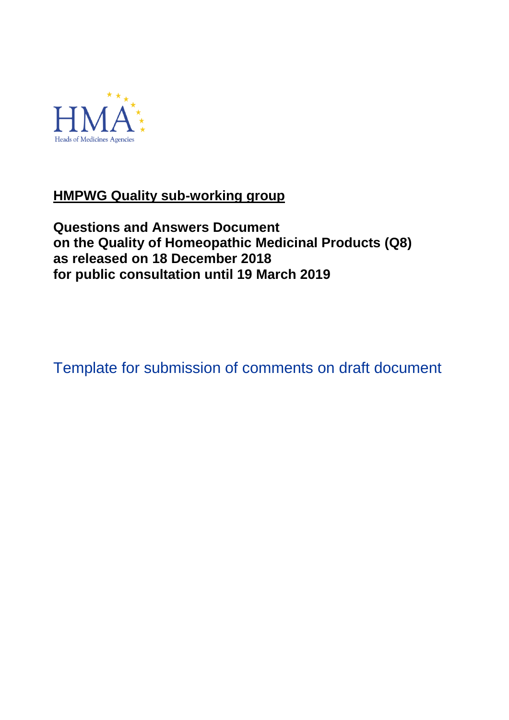

# **HMPWG Quality sub-working group**

**Questions and Answers Document on the Quality of Homeopathic Medicinal Products (Q8) as released on 18 December 2018 for public consultation until 19 March 2019**

Template for submission of comments on draft document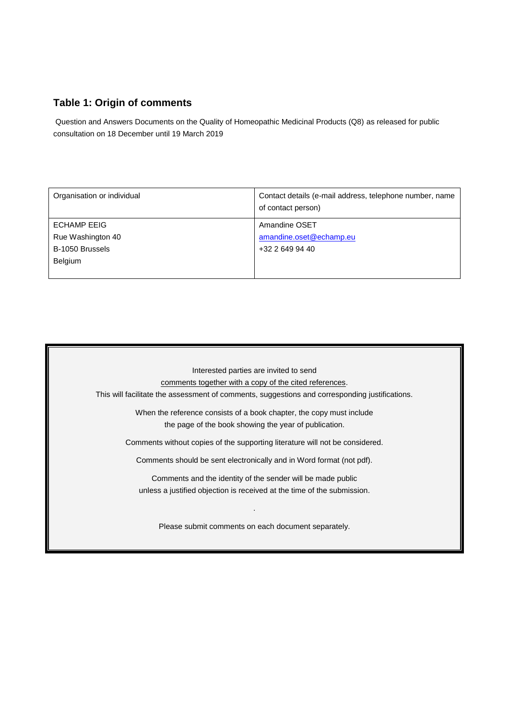## **Table 1: Origin of comments**

Question and Answers Documents on the Quality of Homeopathic Medicinal Products (Q8) as released for public consultation on 18 December until 19 March 2019

| Organisation or individual | Contact details (e-mail address, telephone number, name<br>of contact person) |
|----------------------------|-------------------------------------------------------------------------------|
| <b>ECHAMP EEIG</b>         | Amandine OSET                                                                 |
| Rue Washington 40          | amandine.oset@echamp.eu                                                       |
| B-1050 Brussels            | +32 2 649 94 40                                                               |
| <b>Belgium</b>             |                                                                               |
|                            |                                                                               |

Interested parties are invited to send comments together with a copy of the cited references. This will facilitate the assessment of comments, suggestions and corresponding justifications. When the reference consists of a book chapter, the copy must include the page of the book showing the year of publication. Comments without copies of the supporting literature will not be considered. Comments should be sent electronically and in Word format (not pdf). Comments and the identity of the sender will be made public unless a justified objection is received at the time of the submission. . Please submit comments on each document separately.